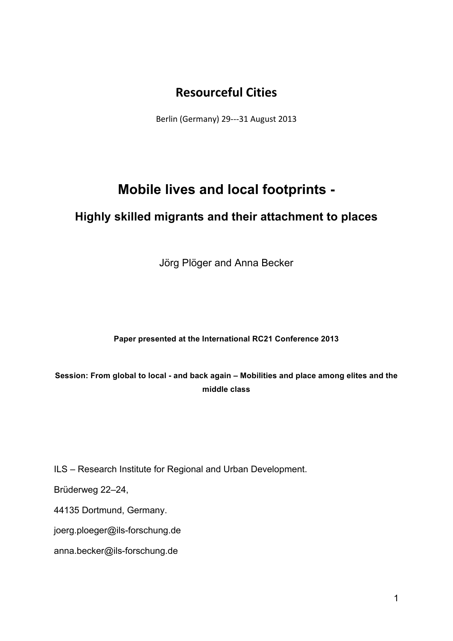## **Resourceful!Cities**

Berlin (Germany) 29---31 August 2013

# **Mobile lives and local footprints -**

## **Highly skilled migrants and their attachment to places**

Jörg Plöger and Anna Becker

## **Paper presented at the International RC21 Conference 2013**

**Session: From global to local - and back again – Mobilities and place among elites and the middle class**

ILS – Research Institute for Regional and Urban Development.

Brüderweg 22–24,

44135 Dortmund, Germany.

joerg.ploeger@ils-forschung.de

anna.becker@ils-forschung.de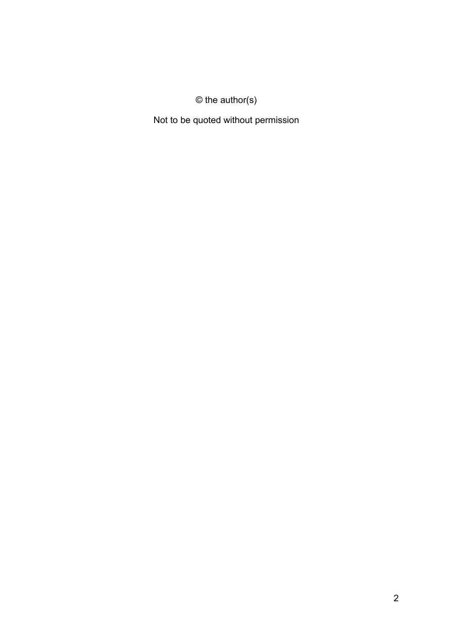## © the author(s)

Not to be quoted without permission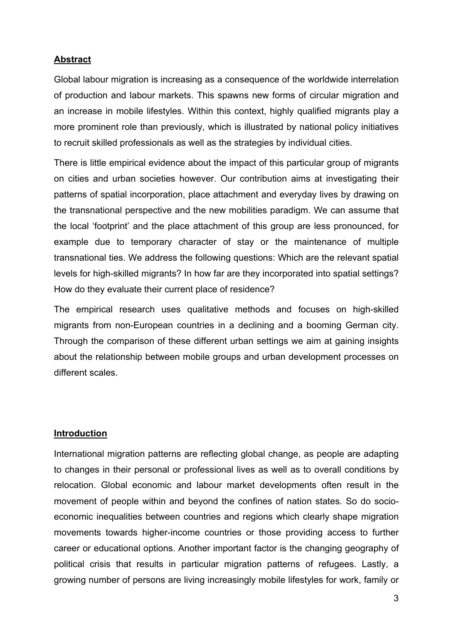## **Abstract**

Global labour migration is increasing as a consequence of the worldwide interrelation of production and labour markets. This spawns new forms of circular migration and an increase in mobile lifestyles. Within this context, highly qualified migrants play a more prominent role than previously, which is illustrated by national policy initiatives to recruit skilled professionals as well as the strategies by individual cities.

There is little empirical evidence about the impact of this particular group of migrants on cities and urban societies however. Our contribution aims at investigating their patterns of spatial incorporation, place attachment and everyday lives by drawing on the transnational perspective and the new mobilities paradigm. We can assume that the local 'footprint' and the place attachment of this group are less pronounced, for example due to temporary character of stay or the maintenance of multiple transnational ties. We address the following questions: Which are the relevant spatial levels for high-skilled migrants? In how far are they incorporated into spatial settings? How do they evaluate their current place of residence?

The empirical research uses qualitative methods and focuses on high-skilled migrants from non-European countries in a declining and a booming German city. Through the comparison of these different urban settings we aim at gaining insights about the relationship between mobile groups and urban development processes on different scales.

### **Introduction**

International migration patterns are reflecting global change, as people are adapting to changes in their personal or professional lives as well as to overall conditions by relocation. Global economic and labour market developments often result in the movement of people within and beyond the confines of nation states. So do socioeconomic inequalities between countries and regions which clearly shape migration movements towards higher-income countries or those providing access to further career or educational options. Another important factor is the changing geography of political crisis that results in particular migration patterns of refugees. Lastly, a growing number of persons are living increasingly mobile lifestyles for work, family or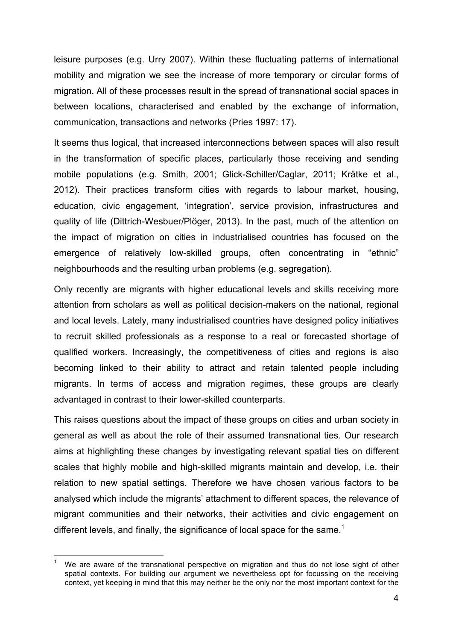leisure purposes (e.g. Urry 2007). Within these fluctuating patterns of international mobility and migration we see the increase of more temporary or circular forms of migration. All of these processes result in the spread of transnational social spaces in between locations, characterised and enabled by the exchange of information, communication, transactions and networks (Pries 1997: 17).

It seems thus logical, that increased interconnections between spaces will also result in the transformation of specific places, particularly those receiving and sending mobile populations (e.g. Smith, 2001; Glick-Schiller/Caglar, 2011; Krätke et al., 2012). Their practices transform cities with regards to labour market, housing, education, civic engagement, 'integration', service provision, infrastructures and quality of life (Dittrich-Wesbuer/Plöger, 2013). In the past, much of the attention on the impact of migration on cities in industrialised countries has focused on the emergence of relatively low-skilled groups, often concentrating in "ethnic" neighbourhoods and the resulting urban problems (e.g. segregation).

Only recently are migrants with higher educational levels and skills receiving more attention from scholars as well as political decision-makers on the national, regional and local levels. Lately, many industrialised countries have designed policy initiatives to recruit skilled professionals as a response to a real or forecasted shortage of qualified workers. Increasingly, the competitiveness of cities and regions is also becoming linked to their ability to attract and retain talented people including migrants. In terms of access and migration regimes, these groups are clearly advantaged in contrast to their lower-skilled counterparts.

This raises questions about the impact of these groups on cities and urban society in general as well as about the role of their assumed transnational ties. Our research aims at highlighting these changes by investigating relevant spatial ties on different scales that highly mobile and high-skilled migrants maintain and develop, i.e. their relation to new spatial settings. Therefore we have chosen various factors to be analysed which include the migrants' attachment to different spaces, the relevance of migrant communities and their networks, their activities and civic engagement on different levels, and finally, the significance of local space for the same.<sup>1</sup>

We are aware of the transnational perspective on migration and thus do not lose sight of other spatial contexts. For building our argument we nevertheless opt for focussing on the receiving context, yet keeping in mind that this may neither be the only nor the most important context for the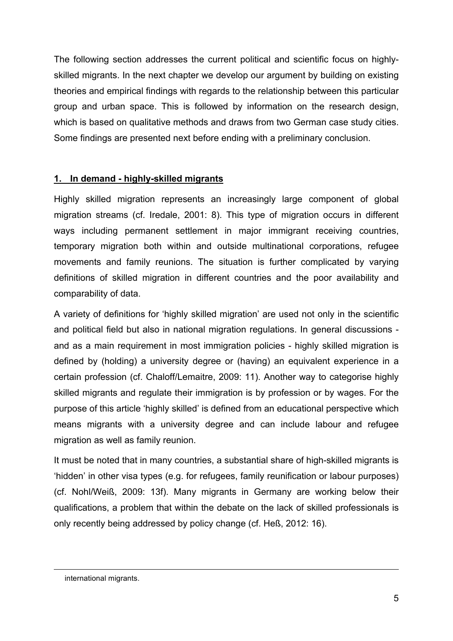The following section addresses the current political and scientific focus on highlyskilled migrants. In the next chapter we develop our argument by building on existing theories and empirical findings with regards to the relationship between this particular group and urban space. This is followed by information on the research design, which is based on qualitative methods and draws from two German case study cities. Some findings are presented next before ending with a preliminary conclusion.

## **1. In demand - highly-skilled migrants**

Highly skilled migration represents an increasingly large component of global migration streams (cf. Iredale, 2001: 8). This type of migration occurs in different ways including permanent settlement in major immigrant receiving countries, temporary migration both within and outside multinational corporations, refugee movements and family reunions. The situation is further complicated by varying definitions of skilled migration in different countries and the poor availability and comparability of data.

A variety of definitions for 'highly skilled migration' are used not only in the scientific and political field but also in national migration regulations. In general discussions and as a main requirement in most immigration policies - highly skilled migration is defined by (holding) a university degree or (having) an equivalent experience in a certain profession (cf. Chaloff/Lemaitre, 2009: 11). Another way to categorise highly skilled migrants and regulate their immigration is by profession or by wages. For the purpose of this article 'highly skilled' is defined from an educational perspective which means migrants with a university degree and can include labour and refugee migration as well as family reunion.

It must be noted that in many countries, a substantial share of high-skilled migrants is 'hidden' in other visa types (e.g. for refugees, family reunification or labour purposes) (cf. Nohl/Weiß, 2009: 13f). Many migrants in Germany are working below their qualifications, a problem that within the debate on the lack of skilled professionals is only recently being addressed by policy change (cf. Heß, 2012: 16).

!!!!!!!!!!!!!!!!!!!!!!!!!!!!!!!!!!!!!!!!!!!!!!!!!!!!!!!!!!!!!!!!!!!!!!!!!!!!!!!!!!!!!!!!!!!!!!!!!!!!!!!!!!!!!!!!!!!!!!!!!!!!!!!!!!!!!!!!!!!!!!!!!!!!!!!!!!!!!!!!!!!!!!!!!!!!

international migrants.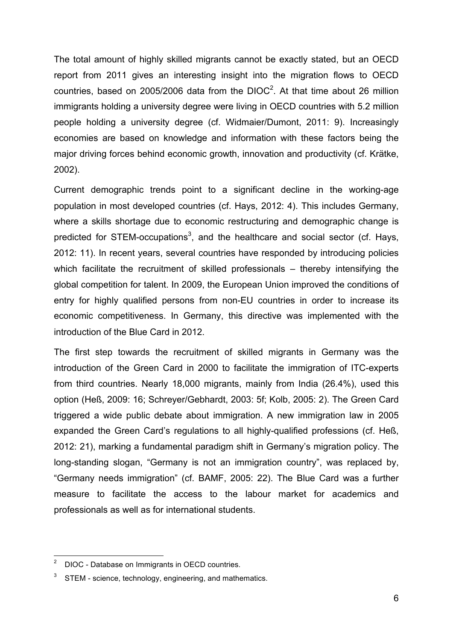The total amount of highly skilled migrants cannot be exactly stated, but an OECD report from 2011 gives an interesting insight into the migration flows to OECD countries, based on 2005/2006 data from the DIOC<sup>2</sup>. At that time about 26 million immigrants holding a university degree were living in OECD countries with 5.2 million people holding a university degree (cf. Widmaier/Dumont, 2011: 9). Increasingly economies are based on knowledge and information with these factors being the major driving forces behind economic growth, innovation and productivity (cf. Krätke, 2002).

Current demographic trends point to a significant decline in the working-age population in most developed countries (cf. Hays, 2012: 4). This includes Germany, where a skills shortage due to economic restructuring and demographic change is predicted for STEM-occupations<sup>3</sup>, and the healthcare and social sector (cf. Hays, 2012: 11). In recent years, several countries have responded by introducing policies which facilitate the recruitment of skilled professionals – thereby intensifying the global competition for talent. In 2009, the European Union improved the conditions of entry for highly qualified persons from non-EU countries in order to increase its economic competitiveness. In Germany, this directive was implemented with the introduction of the Blue Card in 2012.

The first step towards the recruitment of skilled migrants in Germany was the introduction of the Green Card in 2000 to facilitate the immigration of ITC-experts from third countries. Nearly 18,000 migrants, mainly from India (26.4%), used this option (Heß, 2009: 16; Schreyer/Gebhardt, 2003: 5f; Kolb, 2005: 2). The Green Card triggered a wide public debate about immigration. A new immigration law in 2005 expanded the Green Card's regulations to all highly-qualified professions (cf. Heß, 2012: 21), marking a fundamental paradigm shift in Germany's migration policy. The long-standing slogan, "Germany is not an immigration country", was replaced by, "Germany needs immigration" (cf. BAMF, 2005: 22). The Blue Card was a further measure to facilitate the access to the labour market for academics and professionals as well as for international students.

DIOC - Database on Immigrants in OECD countries.

STEM - science, technology, engineering, and mathematics.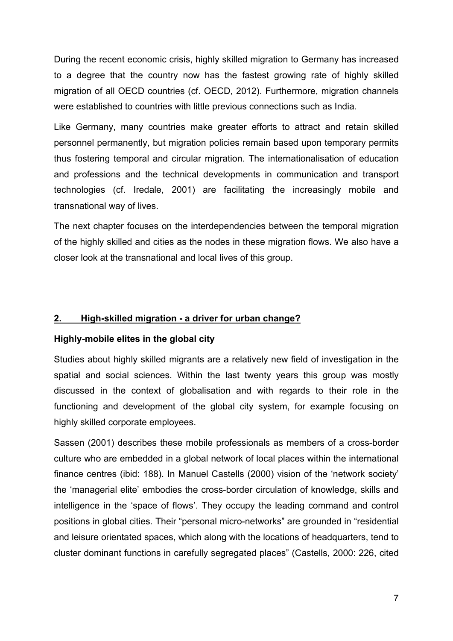During the recent economic crisis, highly skilled migration to Germany has increased to a degree that the country now has the fastest growing rate of highly skilled migration of all OECD countries (cf. OECD, 2012). Furthermore, migration channels were established to countries with little previous connections such as India.

Like Germany, many countries make greater efforts to attract and retain skilled personnel permanently, but migration policies remain based upon temporary permits thus fostering temporal and circular migration. The internationalisation of education and professions and the technical developments in communication and transport technologies (cf. Iredale, 2001) are facilitating the increasingly mobile and transnational way of lives.

The next chapter focuses on the interdependencies between the temporal migration of the highly skilled and cities as the nodes in these migration flows. We also have a closer look at the transnational and local lives of this group.

## **2. High-skilled migration - a driver for urban change?**

## **Highly-mobile elites in the global city**

Studies about highly skilled migrants are a relatively new field of investigation in the spatial and social sciences. Within the last twenty years this group was mostly discussed in the context of globalisation and with regards to their role in the functioning and development of the global city system, for example focusing on highly skilled corporate employees.

Sassen (2001) describes these mobile professionals as members of a cross-border culture who are embedded in a global network of local places within the international finance centres (ibid: 188). In Manuel Castells (2000) vision of the 'network society' the 'managerial elite' embodies the cross-border circulation of knowledge, skills and intelligence in the 'space of flows'. They occupy the leading command and control positions in global cities. Their "personal micro-networks" are grounded in "residential and leisure orientated spaces, which along with the locations of headquarters, tend to cluster dominant functions in carefully segregated places" (Castells, 2000: 226, cited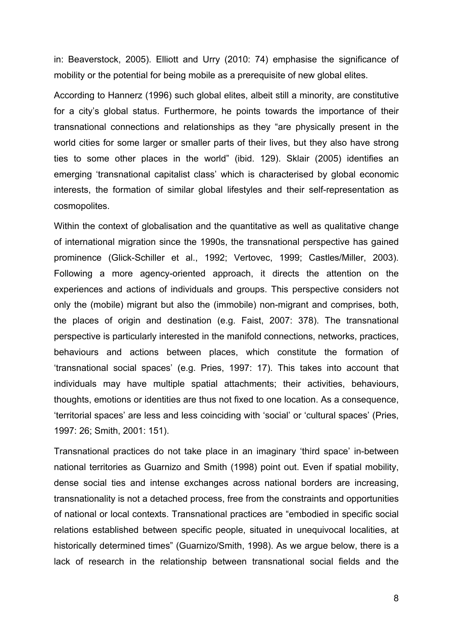in: Beaverstock, 2005). Elliott and Urry (2010: 74) emphasise the significance of mobility or the potential for being mobile as a prerequisite of new global elites.

According to Hannerz (1996) such global elites, albeit still a minority, are constitutive for a city's global status. Furthermore, he points towards the importance of their transnational connections and relationships as they "are physically present in the world cities for some larger or smaller parts of their lives, but they also have strong ties to some other places in the world" (ibid. 129). Sklair (2005) identifies an emerging 'transnational capitalist class' which is characterised by global economic interests, the formation of similar global lifestyles and their self-representation as cosmopolites.

Within the context of globalisation and the quantitative as well as qualitative change of international migration since the 1990s, the transnational perspective has gained prominence (Glick-Schiller et al., 1992; Vertovec, 1999; Castles/Miller, 2003). Following a more agency-oriented approach, it directs the attention on the experiences and actions of individuals and groups. This perspective considers not only the (mobile) migrant but also the (immobile) non-migrant and comprises, both, the places of origin and destination (e.g. Faist, 2007: 378). The transnational perspective is particularly interested in the manifold connections, networks, practices, behaviours and actions between places, which constitute the formation of 'transnational social spaces' (e.g. Pries, 1997: 17). This takes into account that individuals may have multiple spatial attachments; their activities, behaviours, thoughts, emotions or identities are thus not fixed to one location. As a consequence, 'territorial spaces' are less and less coinciding with 'social' or 'cultural spaces' (Pries, 1997: 26; Smith, 2001: 151).

Transnational practices do not take place in an imaginary 'third space' in-between national territories as Guarnizo and Smith (1998) point out. Even if spatial mobility, dense social ties and intense exchanges across national borders are increasing, transnationality is not a detached process, free from the constraints and opportunities of national or local contexts. Transnational practices are "embodied in specific social relations established between specific people, situated in unequivocal localities, at historically determined times" (Guarnizo/Smith, 1998). As we argue below, there is a lack of research in the relationship between transnational social fields and the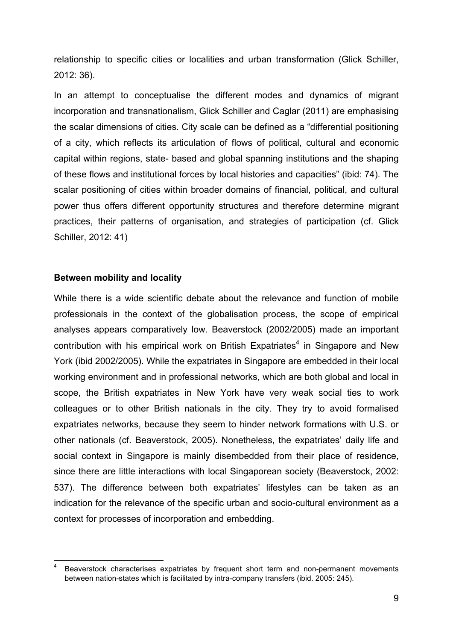relationship to specific cities or localities and urban transformation (Glick Schiller, 2012: 36).

In an attempt to conceptualise the different modes and dynamics of migrant incorporation and transnationalism, Glick Schiller and Caglar (2011) are emphasising the scalar dimensions of cities. City scale can be defined as a "differential positioning of a city, which reflects its articulation of flows of political, cultural and economic capital within regions, state- based and global spanning institutions and the shaping of these flows and institutional forces by local histories and capacities" (ibid: 74). The scalar positioning of cities within broader domains of financial, political, and cultural power thus offers different opportunity structures and therefore determine migrant practices, their patterns of organisation, and strategies of participation (cf. Glick Schiller, 2012: 41)

#### **Between mobility and locality**

While there is a wide scientific debate about the relevance and function of mobile professionals in the context of the globalisation process, the scope of empirical analyses appears comparatively low. Beaverstock (2002/2005) made an important contribution with his empirical work on British Expatriates<sup>4</sup> in Singapore and New York (ibid 2002/2005). While the expatriates in Singapore are embedded in their local working environment and in professional networks, which are both global and local in scope, the British expatriates in New York have very weak social ties to work colleagues or to other British nationals in the city. They try to avoid formalised expatriates networks, because they seem to hinder network formations with U.S. or other nationals (cf. Beaverstock, 2005). Nonetheless, the expatriates' daily life and social context in Singapore is mainly disembedded from their place of residence, since there are little interactions with local Singaporean society (Beaverstock, 2002: 537). The difference between both expatriates' lifestyles can be taken as an indication for the relevance of the specific urban and socio-cultural environment as a context for processes of incorporation and embedding.

Beaverstock characterises expatriates by frequent short term and non-permanent movements between nation-states which is facilitated by intra-company transfers (ibid. 2005: 245).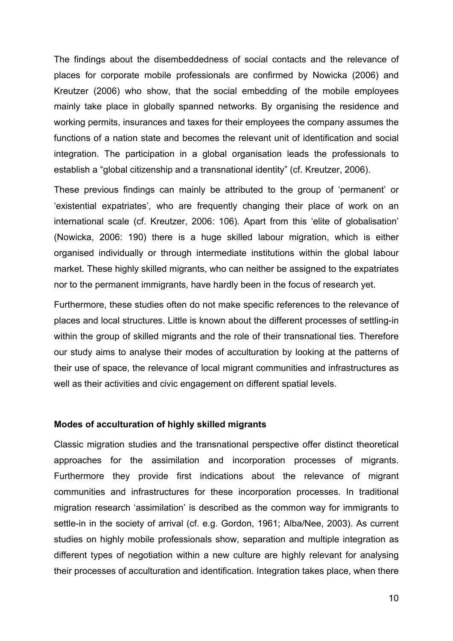The findings about the disembeddedness of social contacts and the relevance of places for corporate mobile professionals are confirmed by Nowicka (2006) and Kreutzer (2006) who show, that the social embedding of the mobile employees mainly take place in globally spanned networks. By organising the residence and working permits, insurances and taxes for their employees the company assumes the functions of a nation state and becomes the relevant unit of identification and social integration. The participation in a global organisation leads the professionals to establish a "global citizenship and a transnational identity" (cf. Kreutzer, 2006).

These previous findings can mainly be attributed to the group of 'permanent' or 'existential expatriates', who are frequently changing their place of work on an international scale (cf. Kreutzer, 2006: 106). Apart from this 'elite of globalisation' (Nowicka, 2006: 190) there is a huge skilled labour migration, which is either organised individually or through intermediate institutions within the global labour market. These highly skilled migrants, who can neither be assigned to the expatriates nor to the permanent immigrants, have hardly been in the focus of research yet.

Furthermore, these studies often do not make specific references to the relevance of places and local structures. Little is known about the different processes of settling-in within the group of skilled migrants and the role of their transnational ties. Therefore our study aims to analyse their modes of acculturation by looking at the patterns of their use of space, the relevance of local migrant communities and infrastructures as well as their activities and civic engagement on different spatial levels.

#### **Modes of acculturation of highly skilled migrants**

Classic migration studies and the transnational perspective offer distinct theoretical approaches for the assimilation and incorporation processes of migrants. Furthermore they provide first indications about the relevance of migrant communities and infrastructures for these incorporation processes. In traditional migration research 'assimilation' is described as the common way for immigrants to settle-in in the society of arrival (cf. e.g. Gordon, 1961; Alba/Nee, 2003). As current studies on highly mobile professionals show, separation and multiple integration as different types of negotiation within a new culture are highly relevant for analysing their processes of acculturation and identification. Integration takes place, when there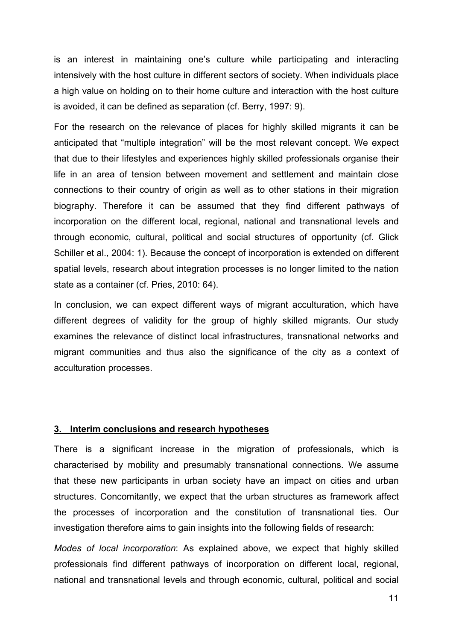is an interest in maintaining one's culture while participating and interacting intensively with the host culture in different sectors of society. When individuals place a high value on holding on to their home culture and interaction with the host culture is avoided, it can be defined as separation (cf. Berry, 1997: 9).

For the research on the relevance of places for highly skilled migrants it can be anticipated that "multiple integration" will be the most relevant concept. We expect that due to their lifestyles and experiences highly skilled professionals organise their life in an area of tension between movement and settlement and maintain close connections to their country of origin as well as to other stations in their migration biography. Therefore it can be assumed that they find different pathways of incorporation on the different local, regional, national and transnational levels and through economic, cultural, political and social structures of opportunity (cf. Glick Schiller et al., 2004: 1). Because the concept of incorporation is extended on different spatial levels, research about integration processes is no longer limited to the nation state as a container (cf. Pries, 2010: 64).

In conclusion, we can expect different ways of migrant acculturation, which have different degrees of validity for the group of highly skilled migrants. Our study examines the relevance of distinct local infrastructures, transnational networks and migrant communities and thus also the significance of the city as a context of acculturation processes.

#### **3. Interim conclusions and research hypotheses**

There is a significant increase in the migration of professionals, which is characterised by mobility and presumably transnational connections. We assume that these new participants in urban society have an impact on cities and urban structures. Concomitantly, we expect that the urban structures as framework affect the processes of incorporation and the constitution of transnational ties. Our investigation therefore aims to gain insights into the following fields of research:

*Modes of local incorporation*: As explained above, we expect that highly skilled professionals find different pathways of incorporation on different local, regional, national and transnational levels and through economic, cultural, political and social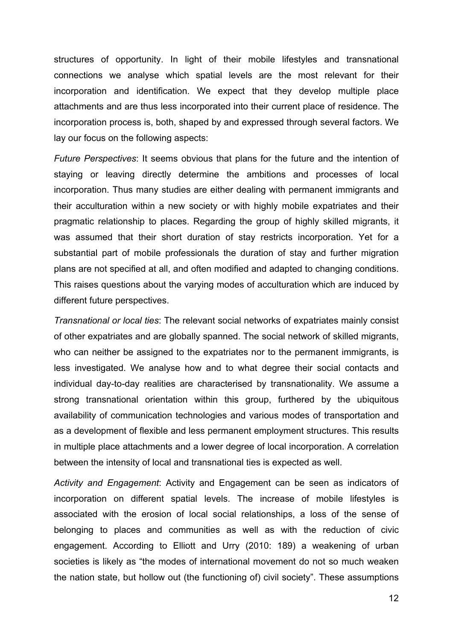structures of opportunity. In light of their mobile lifestyles and transnational connections we analyse which spatial levels are the most relevant for their incorporation and identification. We expect that they develop multiple place attachments and are thus less incorporated into their current place of residence. The incorporation process is, both, shaped by and expressed through several factors. We lay our focus on the following aspects:

*Future Perspectives*: It seems obvious that plans for the future and the intention of staying or leaving directly determine the ambitions and processes of local incorporation. Thus many studies are either dealing with permanent immigrants and their acculturation within a new society or with highly mobile expatriates and their pragmatic relationship to places. Regarding the group of highly skilled migrants, it was assumed that their short duration of stay restricts incorporation. Yet for a substantial part of mobile professionals the duration of stay and further migration plans are not specified at all, and often modified and adapted to changing conditions. This raises questions about the varying modes of acculturation which are induced by different future perspectives.

*Transnational or local ties*: The relevant social networks of expatriates mainly consist of other expatriates and are globally spanned. The social network of skilled migrants, who can neither be assigned to the expatriates nor to the permanent immigrants, is less investigated. We analyse how and to what degree their social contacts and individual day-to-day realities are characterised by transnationality. We assume a strong transnational orientation within this group, furthered by the ubiquitous availability of communication technologies and various modes of transportation and as a development of flexible and less permanent employment structures. This results in multiple place attachments and a lower degree of local incorporation. A correlation between the intensity of local and transnational ties is expected as well.

*Activity and Engagement*: Activity and Engagement can be seen as indicators of incorporation on different spatial levels. The increase of mobile lifestyles is associated with the erosion of local social relationships, a loss of the sense of belonging to places and communities as well as with the reduction of civic engagement. According to Elliott and Urry (2010: 189) a weakening of urban societies is likely as "the modes of international movement do not so much weaken the nation state, but hollow out (the functioning of) civil society". These assumptions

12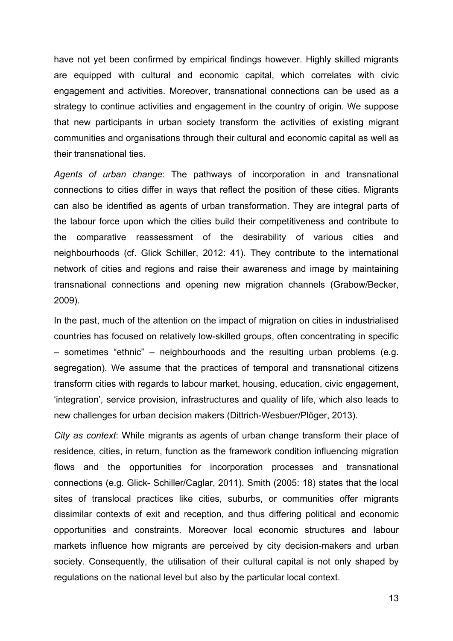have not yet been confirmed by empirical findings however. Highly skilled migrants are equipped with cultural and economic capital, which correlates with civic engagement and activities. Moreover, transnational connections can be used as a strategy to continue activities and engagement in the country of origin. We suppose that new participants in urban society transform the activities of existing migrant communities and organisations through their cultural and economic capital as well as their transnational ties.

*Agents of urban change*: The pathways of incorporation in and transnational connections to cities differ in ways that reflect the position of these cities. Migrants can also be identified as agents of urban transformation. They are integral parts of the labour force upon which the cities build their competitiveness and contribute to the comparative reassessment of the desirability of various cities and neighbourhoods (cf. Glick Schiller, 2012: 41). They contribute to the international network of cities and regions and raise their awareness and image by maintaining transnational connections and opening new migration channels (Grabow/Becker, 2009).

In the past, much of the attention on the impact of migration on cities in industrialised countries has focused on relatively low-skilled groups, often concentrating in specific – sometimes "ethnic" – neighbourhoods and the resulting urban problems (e.g. segregation). We assume that the practices of temporal and transnational citizens transform cities with regards to labour market, housing, education, civic engagement, 'integration', service provision, infrastructures and quality of life, which also leads to new challenges for urban decision makers (Dittrich-Wesbuer/Plöger, 2013).

*City as context*: While migrants as agents of urban change transform their place of residence, cities, in return, function as the framework condition influencing migration flows and the opportunities for incorporation processes and transnational connections (e.g. Glick- Schiller/Caglar, 2011). Smith (2005: 18) states that the local sites of translocal practices like cities, suburbs, or communities offer migrants dissimilar contexts of exit and reception, and thus differing political and economic opportunities and constraints. Moreover local economic structures and labour markets influence how migrants are perceived by city decision-makers and urban society. Consequently, the utilisation of their cultural capital is not only shaped by regulations on the national level but also by the particular local context.

13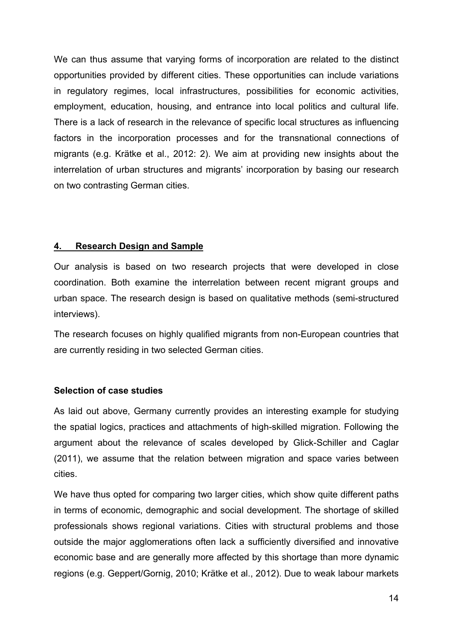We can thus assume that varying forms of incorporation are related to the distinct opportunities provided by different cities. These opportunities can include variations in regulatory regimes, local infrastructures, possibilities for economic activities, employment, education, housing, and entrance into local politics and cultural life. There is a lack of research in the relevance of specific local structures as influencing factors in the incorporation processes and for the transnational connections of migrants (e.g. Krätke et al., 2012: 2). We aim at providing new insights about the interrelation of urban structures and migrants' incorporation by basing our research on two contrasting German cities.

## **4. Research Design and Sample**

Our analysis is based on two research projects that were developed in close coordination. Both examine the interrelation between recent migrant groups and urban space. The research design is based on qualitative methods (semi-structured interviews).

The research focuses on highly qualified migrants from non-European countries that are currently residing in two selected German cities.

## **Selection of case studies**

As laid out above, Germany currently provides an interesting example for studying the spatial logics, practices and attachments of high-skilled migration. Following the argument about the relevance of scales developed by Glick-Schiller and Caglar (2011), we assume that the relation between migration and space varies between cities.

We have thus opted for comparing two larger cities, which show quite different paths in terms of economic, demographic and social development. The shortage of skilled professionals shows regional variations. Cities with structural problems and those outside the major agglomerations often lack a sufficiently diversified and innovative economic base and are generally more affected by this shortage than more dynamic regions (e.g. Geppert/Gornig, 2010; Krätke et al., 2012). Due to weak labour markets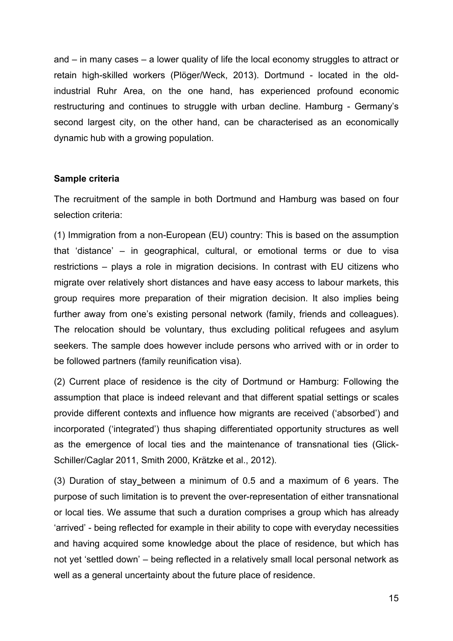and – in many cases – a lower quality of life the local economy struggles to attract or retain high-skilled workers (Plöger/Weck, 2013). Dortmund - located in the oldindustrial Ruhr Area, on the one hand, has experienced profound economic restructuring and continues to struggle with urban decline. Hamburg - Germany's second largest city, on the other hand, can be characterised as an economically dynamic hub with a growing population.

#### **Sample criteria**

The recruitment of the sample in both Dortmund and Hamburg was based on four selection criteria:

(1) Immigration from a non-European (EU) country: This is based on the assumption that 'distance' – in geographical, cultural, or emotional terms or due to visa restrictions – plays a role in migration decisions. In contrast with EU citizens who migrate over relatively short distances and have easy access to labour markets, this group requires more preparation of their migration decision. It also implies being further away from one's existing personal network (family, friends and colleagues). The relocation should be voluntary, thus excluding political refugees and asylum seekers. The sample does however include persons who arrived with or in order to be followed partners (family reunification visa).

(2) Current place of residence is the city of Dortmund or Hamburg: Following the assumption that place is indeed relevant and that different spatial settings or scales provide different contexts and influence how migrants are received ('absorbed') and incorporated ('integrated') thus shaping differentiated opportunity structures as well as the emergence of local ties and the maintenance of transnational ties (Glick-Schiller/Caglar 2011, Smith 2000, Krätzke et al., 2012).

(3) Duration of stay between a minimum of 0.5 and a maximum of 6 years. The purpose of such limitation is to prevent the over-representation of either transnational or local ties. We assume that such a duration comprises a group which has already 'arrived' - being reflected for example in their ability to cope with everyday necessities and having acquired some knowledge about the place of residence, but which has not yet 'settled down' – being reflected in a relatively small local personal network as well as a general uncertainty about the future place of residence.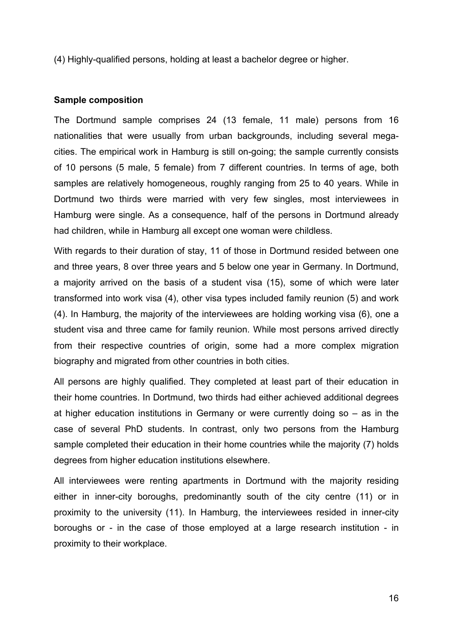(4) Highly-qualified persons, holding at least a bachelor degree or higher.

#### **Sample composition**

The Dortmund sample comprises 24 (13 female, 11 male) persons from 16 nationalities that were usually from urban backgrounds, including several megacities. The empirical work in Hamburg is still on-going; the sample currently consists of 10 persons (5 male, 5 female) from 7 different countries. In terms of age, both samples are relatively homogeneous, roughly ranging from 25 to 40 years. While in Dortmund two thirds were married with very few singles, most interviewees in Hamburg were single. As a consequence, half of the persons in Dortmund already had children, while in Hamburg all except one woman were childless.

With regards to their duration of stay, 11 of those in Dortmund resided between one and three years, 8 over three years and 5 below one year in Germany. In Dortmund, a majority arrived on the basis of a student visa (15), some of which were later transformed into work visa (4), other visa types included family reunion (5) and work (4). In Hamburg, the majority of the interviewees are holding working visa (6), one a student visa and three came for family reunion. While most persons arrived directly from their respective countries of origin, some had a more complex migration biography and migrated from other countries in both cities.

All persons are highly qualified. They completed at least part of their education in their home countries. In Dortmund, two thirds had either achieved additional degrees at higher education institutions in Germany or were currently doing so – as in the case of several PhD students. In contrast, only two persons from the Hamburg sample completed their education in their home countries while the majority (7) holds degrees from higher education institutions elsewhere.

All interviewees were renting apartments in Dortmund with the majority residing either in inner-city boroughs, predominantly south of the city centre (11) or in proximity to the university (11). In Hamburg, the interviewees resided in inner-city boroughs or - in the case of those employed at a large research institution - in proximity to their workplace.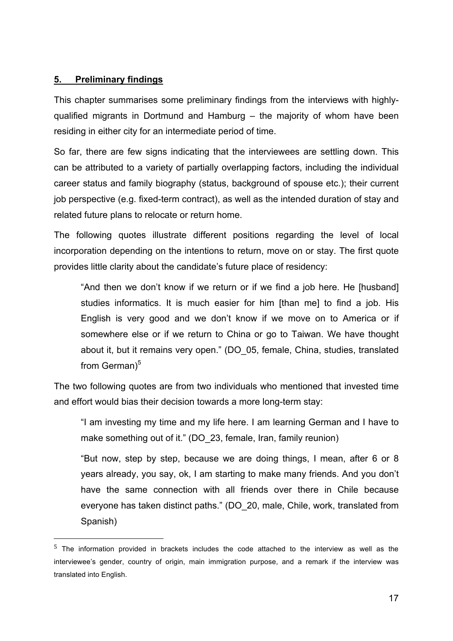## **5. Preliminary findings**

!!!!!!!!!!!!!!!!!!!!!!!!!!!!!!!!!!!!!!!!!!!!!!!!!!!!!!!

This chapter summarises some preliminary findings from the interviews with highlyqualified migrants in Dortmund and Hamburg – the majority of whom have been residing in either city for an intermediate period of time.

So far, there are few signs indicating that the interviewees are settling down. This can be attributed to a variety of partially overlapping factors, including the individual career status and family biography (status, background of spouse etc.); their current job perspective (e.g. fixed-term contract), as well as the intended duration of stay and related future plans to relocate or return home.

The following quotes illustrate different positions regarding the level of local incorporation depending on the intentions to return, move on or stay. The first quote provides little clarity about the candidate's future place of residency:

"And then we don't know if we return or if we find a job here. He [husband] studies informatics. It is much easier for him [than me] to find a job. His English is very good and we don't know if we move on to America or if somewhere else or if we return to China or go to Taiwan. We have thought about it, but it remains very open." (DO\_05, female, China, studies, translated from German $)^5$ 

The two following quotes are from two individuals who mentioned that invested time and effort would bias their decision towards a more long-term stay:

"I am investing my time and my life here. I am learning German and I have to make something out of it." (DO 23, female, Iran, family reunion)

"But now, step by step, because we are doing things, I mean, after 6 or 8 years already, you say, ok, I am starting to make many friends. And you don't have the same connection with all friends over there in Chile because everyone has taken distinct paths." (DO\_20, male, Chile, work, translated from Spanish)

<sup>5</sup> The information provided in brackets includes the code attached to the interview as well as the interviewee's gender, country of origin, main immigration purpose, and a remark if the interview was translated into English.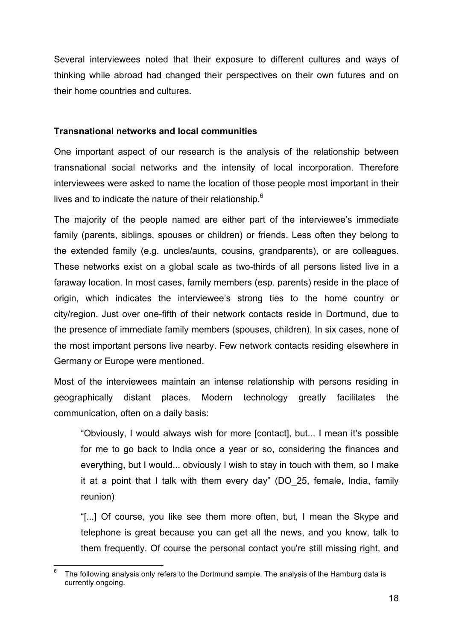Several interviewees noted that their exposure to different cultures and ways of thinking while abroad had changed their perspectives on their own futures and on their home countries and cultures.

## **Transnational networks and local communities**

One important aspect of our research is the analysis of the relationship between transnational social networks and the intensity of local incorporation. Therefore interviewees were asked to name the location of those people most important in their lives and to indicate the nature of their relationship.<sup>6</sup>

The majority of the people named are either part of the interviewee's immediate family (parents, siblings, spouses or children) or friends. Less often they belong to the extended family (e.g. uncles/aunts, cousins, grandparents), or are colleagues. These networks exist on a global scale as two-thirds of all persons listed live in a faraway location. In most cases, family members (esp. parents) reside in the place of origin, which indicates the interviewee's strong ties to the home country or city/region. Just over one-fifth of their network contacts reside in Dortmund, due to the presence of immediate family members (spouses, children). In six cases, none of the most important persons live nearby. Few network contacts residing elsewhere in Germany or Europe were mentioned.

Most of the interviewees maintain an intense relationship with persons residing in geographically distant places. Modern technology greatly facilitates the communication, often on a daily basis:

"Obviously, I would always wish for more [contact], but... I mean it's possible for me to go back to India once a year or so, considering the finances and everything, but I would... obviously I wish to stay in touch with them, so I make it at a point that I talk with them every day" (DO\_25, female, India, family reunion)

"[...] Of course, you like see them more often, but, I mean the Skype and telephone is great because you can get all the news, and you know, talk to them frequently. Of course the personal contact you're still missing right, and

 $<sup>6</sup>$  The following analysis only refers to the Dortmund sample. The analysis of the Hamburg data is</sup> currently ongoing.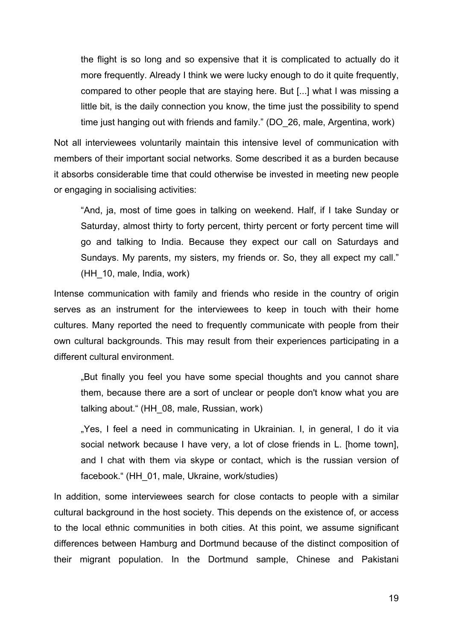the flight is so long and so expensive that it is complicated to actually do it more frequently. Already I think we were lucky enough to do it quite frequently, compared to other people that are staying here. But [...] what I was missing a little bit, is the daily connection you know, the time just the possibility to spend time just hanging out with friends and family." (DO\_26, male, Argentina, work)

Not all interviewees voluntarily maintain this intensive level of communication with members of their important social networks. Some described it as a burden because it absorbs considerable time that could otherwise be invested in meeting new people or engaging in socialising activities:

"And, ja, most of time goes in talking on weekend. Half, if I take Sunday or Saturday, almost thirty to forty percent, thirty percent or forty percent time will go and talking to India. Because they expect our call on Saturdays and Sundays. My parents, my sisters, my friends or. So, they all expect my call." (HH\_10, male, India, work)

Intense communication with family and friends who reside in the country of origin serves as an instrument for the interviewees to keep in touch with their home cultures. Many reported the need to frequently communicate with people from their own cultural backgrounds. This may result from their experiences participating in a different cultural environment.

"But finally you feel you have some special thoughts and you cannot share them, because there are a sort of unclear or people don't know what you are talking about." (HH\_08, male, Russian, work)

"Yes, I feel a need in communicating in Ukrainian. I, in general, I do it via social network because I have very, a lot of close friends in L. [home town], and I chat with them via skype or contact, which is the russian version of facebook." (HH\_01, male, Ukraine, work/studies)

In addition, some interviewees search for close contacts to people with a similar cultural background in the host society. This depends on the existence of, or access to the local ethnic communities in both cities. At this point, we assume significant differences between Hamburg and Dortmund because of the distinct composition of their migrant population. In the Dortmund sample, Chinese and Pakistani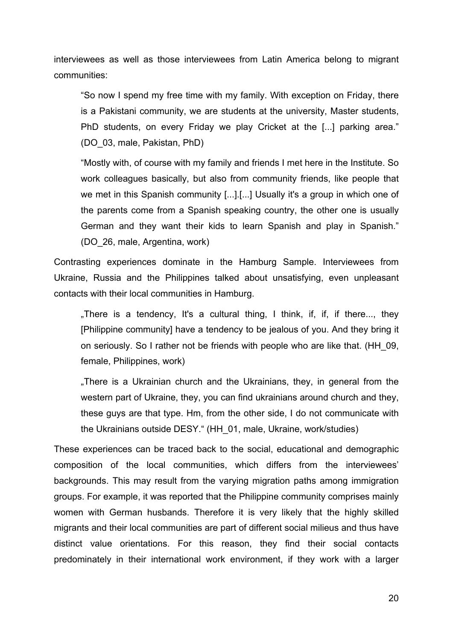interviewees as well as those interviewees from Latin America belong to migrant communities:

"So now I spend my free time with my family. With exception on Friday, there is a Pakistani community, we are students at the university, Master students, PhD students, on every Friday we play Cricket at the [...] parking area." (DO\_03, male, Pakistan, PhD)

"Mostly with, of course with my family and friends I met here in the Institute. So work colleagues basically, but also from community friends, like people that we met in this Spanish community [...].[...] Usually it's a group in which one of the parents come from a Spanish speaking country, the other one is usually German and they want their kids to learn Spanish and play in Spanish." (DO\_26, male, Argentina, work)

Contrasting experiences dominate in the Hamburg Sample. Interviewees from Ukraine, Russia and the Philippines talked about unsatisfying, even unpleasant contacts with their local communities in Hamburg.

. There is a tendency, It's a cultural thing, I think, if, if, if there..., they [Philippine community] have a tendency to be jealous of you. And they bring it on seriously. So I rather not be friends with people who are like that. (HH\_09, female, Philippines, work)

"There is a Ukrainian church and the Ukrainians, they, in general from the western part of Ukraine, they, you can find ukrainians around church and they, these guys are that type. Hm, from the other side, I do not communicate with the Ukrainians outside DESY." (HH\_01, male, Ukraine, work/studies)

These experiences can be traced back to the social, educational and demographic composition of the local communities, which differs from the interviewees' backgrounds. This may result from the varying migration paths among immigration groups. For example, it was reported that the Philippine community comprises mainly women with German husbands. Therefore it is very likely that the highly skilled migrants and their local communities are part of different social milieus and thus have distinct value orientations. For this reason, they find their social contacts predominately in their international work environment, if they work with a larger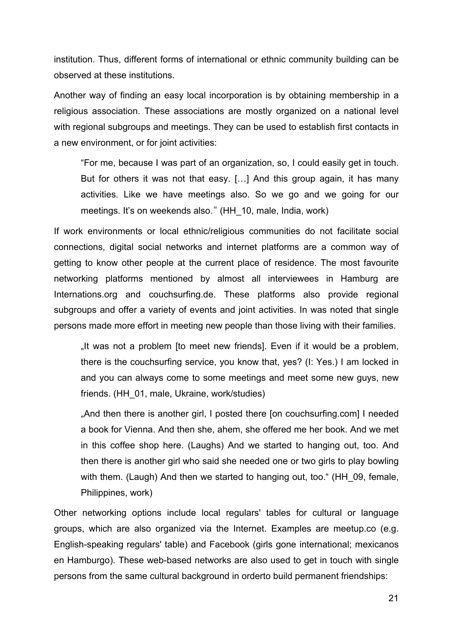institution. Thus, different forms of international or ethnic community building can be observed at these institutions.

Another way of finding an easy local incorporation is by obtaining membership in a religious association. These associations are mostly organized on a national level with regional subgroups and meetings. They can be used to establish first contacts in a new environment, or for joint activities:

"For me, because I was part of an organization, so, I could easily get in touch. But for others it was not that easy. […] And this group again, it has many activities. Like we have meetings also. So we go and we going for our meetings. It's on weekends also." (HH\_10, male, India, work)

If work environments or local ethnic/religious communities do not facilitate social connections, digital social networks and internet platforms are a common way of getting to know other people at the current place of residence. The most favourite networking platforms mentioned by almost all interviewees in Hamburg are Internations.org and couchsurfing.de. These platforms also provide regional subgroups and offer a variety of events and joint activities. In was noted that single persons made more effort in meeting new people than those living with their families.

"It was not a problem [to meet new friends]. Even if it would be a problem, there is the couchsurfing service, you know that, yes? (I: Yes.) I am locked in and you can always come to some meetings and meet some new guys, new friends. (HH\_01, male, Ukraine, work/studies)

"And then there is another girl, I posted there [on couchsurfing.com] I needed a book for Vienna. And then she, ahem, she offered me her book. And we met in this coffee shop here. (Laughs) And we started to hanging out, too. And then there is another girl who said she needed one or two girls to play bowling with them. (Laugh) And then we started to hanging out, too." (HH 09, female, Philippines, work)

Other networking options include local regulars' tables for cultural or language groups, which are also organized via the Internet. Examples are meetup.co (e.g. English-speaking regulars' table) and Facebook (girls gone international; mexicanos en Hamburgo). These web-based networks are also used to get in touch with single persons from the same cultural background in orderto build permanent friendships: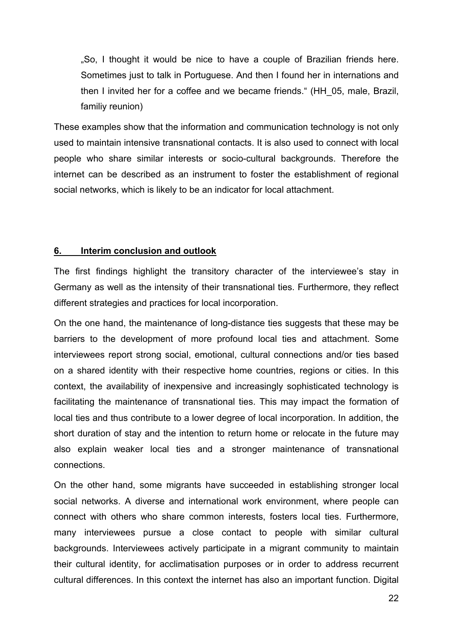"So, I thought it would be nice to have a couple of Brazilian friends here. Sometimes just to talk in Portuguese. And then I found her in internations and then I invited her for a coffee and we became friends." (HH\_05, male, Brazil, familiy reunion)

These examples show that the information and communication technology is not only used to maintain intensive transnational contacts. It is also used to connect with local people who share similar interests or socio-cultural backgrounds. Therefore the internet can be described as an instrument to foster the establishment of regional social networks, which is likely to be an indicator for local attachment.

## **6. Interim conclusion and outlook**

The first findings highlight the transitory character of the interviewee's stay in Germany as well as the intensity of their transnational ties. Furthermore, they reflect different strategies and practices for local incorporation.

On the one hand, the maintenance of long-distance ties suggests that these may be barriers to the development of more profound local ties and attachment. Some interviewees report strong social, emotional, cultural connections and/or ties based on a shared identity with their respective home countries, regions or cities. In this context, the availability of inexpensive and increasingly sophisticated technology is facilitating the maintenance of transnational ties. This may impact the formation of local ties and thus contribute to a lower degree of local incorporation. In addition, the short duration of stay and the intention to return home or relocate in the future may also explain weaker local ties and a stronger maintenance of transnational connections.

On the other hand, some migrants have succeeded in establishing stronger local social networks. A diverse and international work environment, where people can connect with others who share common interests, fosters local ties. Furthermore, many interviewees pursue a close contact to people with similar cultural backgrounds. Interviewees actively participate in a migrant community to maintain their cultural identity, for acclimatisation purposes or in order to address recurrent cultural differences. In this context the internet has also an important function. Digital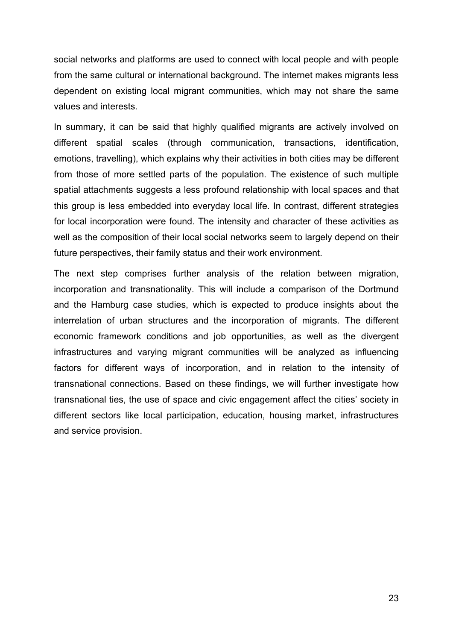social networks and platforms are used to connect with local people and with people from the same cultural or international background. The internet makes migrants less dependent on existing local migrant communities, which may not share the same values and interests.

In summary, it can be said that highly qualified migrants are actively involved on different spatial scales (through communication, transactions, identification, emotions, travelling), which explains why their activities in both cities may be different from those of more settled parts of the population. The existence of such multiple spatial attachments suggests a less profound relationship with local spaces and that this group is less embedded into everyday local life. In contrast, different strategies for local incorporation were found. The intensity and character of these activities as well as the composition of their local social networks seem to largely depend on their future perspectives, their family status and their work environment.

The next step comprises further analysis of the relation between migration, incorporation and transnationality. This will include a comparison of the Dortmund and the Hamburg case studies, which is expected to produce insights about the interrelation of urban structures and the incorporation of migrants. The different economic framework conditions and job opportunities, as well as the divergent infrastructures and varying migrant communities will be analyzed as influencing factors for different ways of incorporation, and in relation to the intensity of transnational connections. Based on these findings, we will further investigate how transnational ties, the use of space and civic engagement affect the cities' society in different sectors like local participation, education, housing market, infrastructures and service provision.

23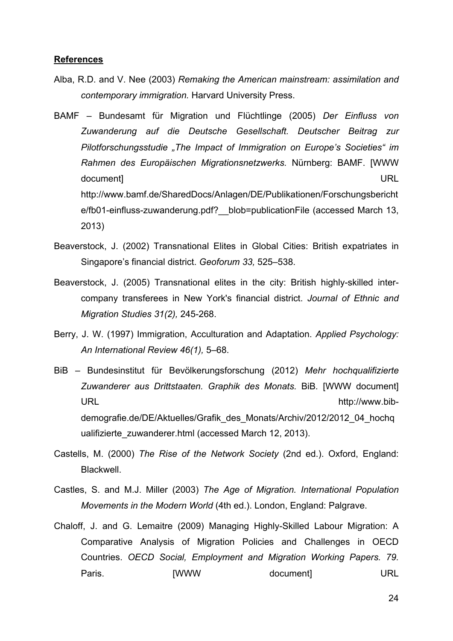#### **References**

- Alba, R.D. and V. Nee (2003) *Remaking the American mainstream: assimilation and contemporary immigration.* Harvard University Press.
- BAMF Bundesamt für Migration und Flüchtlinge (2005) *Der Einfluss von Zuwanderung auf die Deutsche Gesellschaft. Deutscher Beitrag zur Pilotforschungsstudie "The Impact of Immigration on Europe's Societies" im Rahmen des Europäischen Migrationsnetzwerks.* Nürnberg: BAMF. [WWW document] URL http://www.bamf.de/SharedDocs/Anlagen/DE/Publikationen/Forschungsbericht e/fb01-einfluss-zuwanderung.pdf? blob=publicationFile (accessed March 13, 2013)
- Beaverstock, J. (2002) Transnational Elites in Global Cities: British expatriates in Singapore's financial district. *Geoforum 33,* 525–538.
- Beaverstock, J. (2005) Transnational elites in the city: British highly-skilled intercompany transferees in New York's financial district. *Journal of Ethnic and Migration Studies 31(2),* 245-268.
- Berry, J. W. (1997) Immigration, Acculturation and Adaptation. *Applied Psychology: An International Review 46(1),* 5–68.
- BiB Bundesinstitut für Bevölkerungsforschung (2012) *Mehr hochqualifizierte Zuwanderer aus Drittstaaten. Graphik des Monats.* BiB*.* [WWW document] URL the contract of the contract of the contract of the contract of the contract of the contract of the contract of the contract of the contract of the contract of the contract of the contract of the contract of the contra demografie.de/DE/Aktuelles/Grafik\_des\_Monats/Archiv/2012/2012\_04\_hochq ualifizierte\_zuwanderer.html (accessed March 12, 2013).
- Castells, M. (2000) *The Rise of the Network Society* (2nd ed.). Oxford, England: Blackwell.
- Castles, S. and M.J. Miller (2003) *The Age of Migration. International Population Movements in the Modern World* (4th ed.). London, England: Palgrave.
- Chaloff, J. and G. Lemaitre (2009) Managing Highly-Skilled Labour Migration: A Comparative Analysis of Migration Policies and Challenges in OECD Countries. *OECD Social, Employment and Migration Working Papers. 79.*  Paris. [WWW document] URL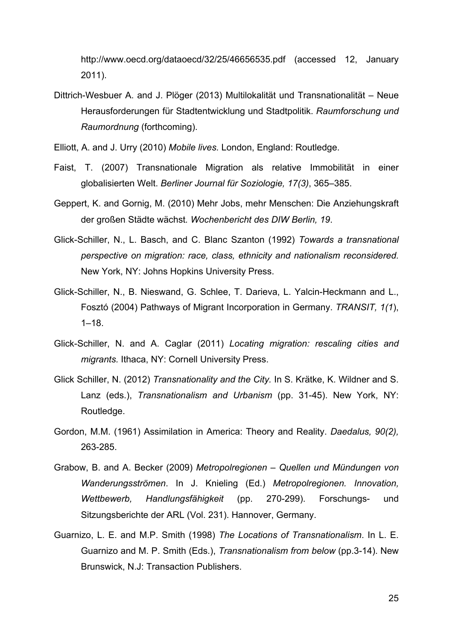http://www.oecd.org/dataoecd/32/25/46656535.pdf (accessed 12, January 2011).

- Dittrich-Wesbuer A. and J. Plöger (2013) Multilokalität und Transnationalität Neue Herausforderungen für Stadtentwicklung und Stadtpolitik. *Raumforschung und Raumordnung* (forthcoming).
- Elliott, A. and J. Urry (2010) *Mobile lives.* London, England: Routledge.
- Faist, T. (2007) Transnationale Migration als relative Immobilität in einer globalisierten Welt. *Berliner Journal für Soziologie, 17(3)*, 365–385.
- Geppert, K. and Gornig, M. (2010) Mehr Jobs, mehr Menschen: Die Anziehungskraft der großen Städte wächst*. Wochenbericht des DIW Berlin, 19*.
- Glick-Schiller, N., L. Basch, and C. Blanc Szanton (1992) *Towards a transnational perspective on migration: race, class, ethnicity and nationalism reconsidered.* New York, NY: Johns Hopkins University Press.
- Glick-Schiller, N., B. Nieswand, G. Schlee, T. Darieva, L. Yalcin-Heckmann and L., Fosztó (2004) Pathways of Migrant Incorporation in Germany. *TRANSIT, 1(1*), 1–18.
- Glick-Schiller, N. and A. Caglar (2011) *Locating migration: rescaling cities and migrants.* Ithaca, NY: Cornell University Press.
- Glick Schiller, N. (2012) *Transnationality and the City.* In S. Krätke, K. Wildner and S. Lanz (eds.), *Transnationalism and Urbanism* (pp. 31-45). New York, NY: Routledge.
- Gordon, M.M. (1961) Assimilation in America: Theory and Reality. *Daedalus, 90(2),* 263-285.
- Grabow, B. and A. Becker (2009) *Metropolregionen Quellen und Mündungen von Wanderungsströmen*. In J. Knieling (Ed.) *Metropolregionen. Innovation, Wettbewerb, Handlungsfähigkeit* (pp. 270-299). Forschungs- und Sitzungsberichte der ARL (Vol. 231). Hannover, Germany.
- Guarnizo, L. E. and M.P. Smith (1998) *The Locations of Transnationalism*. In L. E. Guarnizo and M. P. Smith (Eds.), *Transnationalism from below* (pp.3-14). New Brunswick, N.J: Transaction Publishers.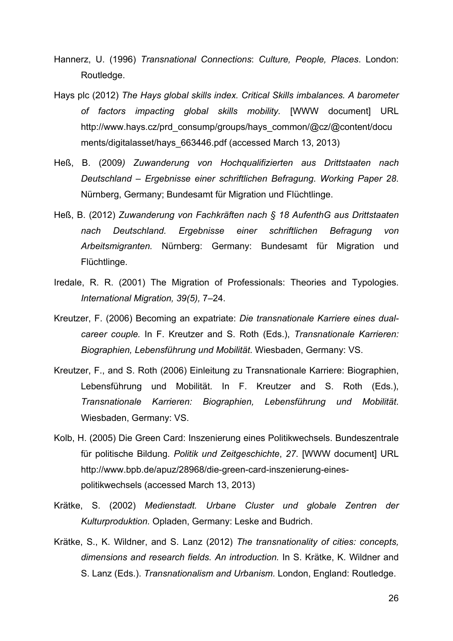- Hannerz, U. (1996) *Transnational Connections*: *Culture, People, Places*. London: Routledge.
- Hays plc (2012) *The Hays global skills index. Critical Skills imbalances. A barometer of factors impacting global skills mobility.* [WWW document] URL http://www.hays.cz/prd\_consump/groups/hays\_common/@cz/@content/docu ments/digitalasset/hays\_663446.pdf (accessed March 13, 2013)
- Heß, B. (2009*) Zuwanderung von Hochqualifizierten aus Drittstaaten nach Deutschland – Ergebnisse einer schriftlichen Befragung*. *Working Paper 28*. Nürnberg, Germany; Bundesamt für Migration und Flüchtlinge.
- Heß, B. (2012) *Zuwanderung von Fachkräften nach § 18 AufenthG aus Drittstaaten nach Deutschland. Ergebnisse einer schriftlichen Befragung von Arbeitsmigranten.* Nürnberg: Germany: Bundesamt für Migration und Flüchtlinge.
- Iredale, R. R. (2001) The Migration of Professionals: Theories and Typologies. *International Migration, 39(5),* 7–24.
- Kreutzer, F. (2006) Becoming an expatriate: *Die transnationale Karriere eines dualcareer couple.* In F. Kreutzer and S. Roth (Eds.), *Transnationale Karrieren: Biographien, Lebensführung und Mobilität*. Wiesbaden, Germany: VS.
- Kreutzer, F., and S. Roth (2006) Einleitung zu Transnationale Karriere: Biographien, Lebensführung und Mobilität. In F. Kreutzer and S. Roth (Eds.), *Transnationale Karrieren: Biographien, Lebensführung und Mobilität*. Wiesbaden, Germany: VS.
- Kolb, H. (2005) Die Green Card: Inszenierung eines Politikwechsels. Bundeszentrale für politische Bildung. *Politik und Zeitgeschichte*, *27*. [WWW document] URL http://www.bpb.de/apuz/28968/die-green-card-inszenierung-einespolitikwechsels (accessed March 13, 2013)
- Krätke, S. (2002) *Medienstadt. Urbane Cluster und globale Zentren der Kulturproduktion.* Opladen, Germany: Leske and Budrich.
- Krätke, S., K. Wildner, and S. Lanz (2012) *The transnationality of cities: concepts, dimensions and research fields. An introduction.* In S. Krätke, K. Wildner and S. Lanz (Eds.). *Transnationalism and Urbanism.* London, England: Routledge.